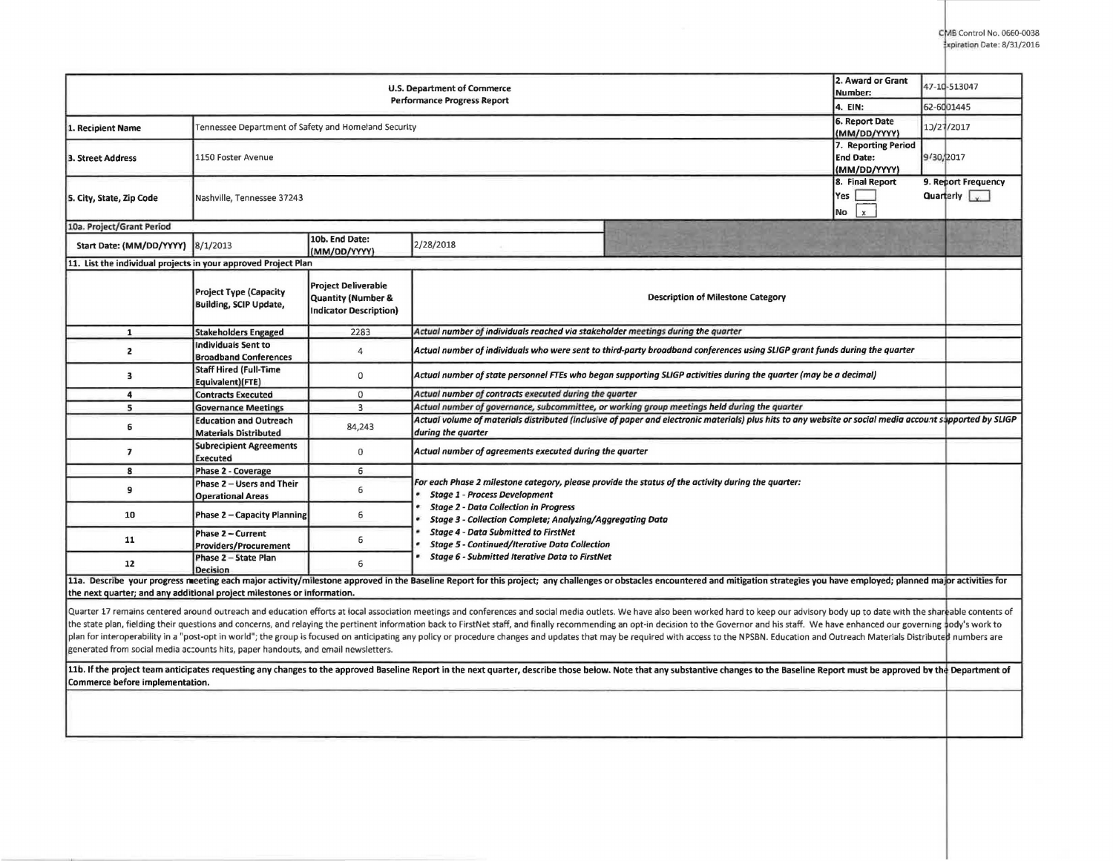| 2. Award or Grant<br>U.S. Department of Commerce<br>Number:<br><b>Performance Progress Report</b>                                                                                                                              |                                                               |                                                                            |                                                                                                                                                                                                                                |                                     |  | 47-10-513047        |  |  |  |
|--------------------------------------------------------------------------------------------------------------------------------------------------------------------------------------------------------------------------------|---------------------------------------------------------------|----------------------------------------------------------------------------|--------------------------------------------------------------------------------------------------------------------------------------------------------------------------------------------------------------------------------|-------------------------------------|--|---------------------|--|--|--|
| 4. EIN:<br>6. Report Date                                                                                                                                                                                                      |                                                               |                                                                            |                                                                                                                                                                                                                                |                                     |  | 62-6001445          |  |  |  |
| 1. Recipient Name                                                                                                                                                                                                              | Tennessee Department of Safety and Homeland Security          |                                                                            |                                                                                                                                                                                                                                |                                     |  | 1J/27/2017          |  |  |  |
|                                                                                                                                                                                                                                |                                                               |                                                                            |                                                                                                                                                                                                                                | (MM/DD/YYYY)<br>7. Reporting Period |  |                     |  |  |  |
| <b>3. Street Address</b>                                                                                                                                                                                                       | 1150 Foster Avenue                                            | <b>End Date:</b>                                                           | 9/30, 2017                                                                                                                                                                                                                     |                                     |  |                     |  |  |  |
|                                                                                                                                                                                                                                |                                                               | (MM/DD/YYYY)                                                               |                                                                                                                                                                                                                                |                                     |  |                     |  |  |  |
|                                                                                                                                                                                                                                | 8. Final Report                                               |                                                                            |                                                                                                                                                                                                                                |                                     |  | 9. Report Frequency |  |  |  |
| 5. City, State, Zip Code                                                                                                                                                                                                       | Nashville, Tennessee 37243                                    | Yes                                                                        |                                                                                                                                                                                                                                | Quarterly v                         |  |                     |  |  |  |
|                                                                                                                                                                                                                                |                                                               |                                                                            |                                                                                                                                                                                                                                | $\mathbf{x}$<br>No                  |  |                     |  |  |  |
| 10a. Project/Grant Period                                                                                                                                                                                                      |                                                               |                                                                            |                                                                                                                                                                                                                                |                                     |  |                     |  |  |  |
| Start Date: (MM/DD/YYYY)                                                                                                                                                                                                       | 8/1/2013                                                      | 10b. End Date:<br>(MM/DD/YYYY)                                             | 2/28/2018                                                                                                                                                                                                                      |                                     |  |                     |  |  |  |
| 11. List the individual projects in your approved Project Plan                                                                                                                                                                 |                                                               |                                                                            |                                                                                                                                                                                                                                |                                     |  |                     |  |  |  |
|                                                                                                                                                                                                                                | Project Type (Capacity<br><b>Building, SCIP Update,</b>       | <b>Project Deliverable</b><br>Quantity (Number &<br>Indicator Description) | Description of Milestone Category                                                                                                                                                                                              |                                     |  |                     |  |  |  |
| $\mathbf{1}$                                                                                                                                                                                                                   | <b>Stakeholders Engaged</b>                                   | 2283                                                                       | Actual number of individuals reached via stakeholder meetings during the quarter                                                                                                                                               |                                     |  |                     |  |  |  |
| $\overline{2}$                                                                                                                                                                                                                 | <b>Individuals Sent to</b><br><b>Broadband Conferences</b>    | 4                                                                          | Actual number of individuals who were sent to third-party broadband conferences using SLIGP grant funds during the quarter                                                                                                     |                                     |  |                     |  |  |  |
| 3                                                                                                                                                                                                                              | <b>Staff Hired (Full-Time</b><br>Equivalent)(FTE)             | 0                                                                          | Actual number of state personnel FTEs who began supporting SLIGP activities during the quarter (may be a decimal)                                                                                                              |                                     |  |                     |  |  |  |
| $\overline{4}$                                                                                                                                                                                                                 | <b>Contracts Executed</b>                                     | $\mathbf 0$                                                                | Actual number of contracts executed during the quarter                                                                                                                                                                         |                                     |  |                     |  |  |  |
| $\overline{\mathbf{5}}$                                                                                                                                                                                                        | <b>Governance Meetings</b>                                    | $\overline{3}$                                                             | Actual number of governance, subcommittee, or working group meetings held during the quarter                                                                                                                                   |                                     |  |                     |  |  |  |
| 6                                                                                                                                                                                                                              | <b>Education and Outreach</b><br><b>Materials Distributed</b> | 84,243                                                                     | Actual volume of materials distributed (inclusive of paper and electronic materials) plus hits to any website or social media account sapported by SLIGP<br>during the quarter                                                 |                                     |  |                     |  |  |  |
| $\overline{\phantom{a}}$                                                                                                                                                                                                       | <b>Subrecipient Agreements</b><br>Executed                    | $\bf{0}$                                                                   | Actual number of agreements executed during the quarter                                                                                                                                                                        |                                     |  |                     |  |  |  |
| 8                                                                                                                                                                                                                              | Phase 2 - Coverage                                            | 6                                                                          | For each Phase 2 milestone category, please provide the status of the activity during the quarter:                                                                                                                             |                                     |  |                     |  |  |  |
| 9                                                                                                                                                                                                                              | Phase 2 - Users and Their                                     | 6                                                                          |                                                                                                                                                                                                                                |                                     |  |                     |  |  |  |
|                                                                                                                                                                                                                                | <b>Operational Areas</b>                                      |                                                                            | <b>Stage 1 - Process Development</b>                                                                                                                                                                                           |                                     |  |                     |  |  |  |
| 10                                                                                                                                                                                                                             | Phase 2 - Capacity Planning                                   | 6                                                                          | <b>Stage 2 - Data Collection in Progress</b><br><b>Stage 3 - Collection Complete; Analyzing/Aggregating Data</b>                                                                                                               |                                     |  |                     |  |  |  |
| 11                                                                                                                                                                                                                             | Phase 2 - Current                                             | 6                                                                          | <b>Stage 4 - Data Submitted to FirstNet</b><br><b>Stage 5 - Continued/Iterative Data Collection</b>                                                                                                                            |                                     |  |                     |  |  |  |
|                                                                                                                                                                                                                                | <b>Providers/Procurement</b><br>Phase 2 - State Plan          |                                                                            | <b>Stage 6 - Submitted Iterative Data to FirstNet</b>                                                                                                                                                                          |                                     |  |                     |  |  |  |
| 12                                                                                                                                                                                                                             | <b>Decision</b>                                               | 6                                                                          |                                                                                                                                                                                                                                |                                     |  |                     |  |  |  |
|                                                                                                                                                                                                                                |                                                               |                                                                            | 11a. Describe your progress meeting each major activity/milestone approved in the Baseline Report for this project; any challenges or obstacles encountered and mitigation strategies you have employed; planned major activit |                                     |  |                     |  |  |  |
| the next quarter; and any additional project milestones or information.                                                                                                                                                        |                                                               |                                                                            |                                                                                                                                                                                                                                |                                     |  |                     |  |  |  |
|                                                                                                                                                                                                                                |                                                               |                                                                            | Quarter 17 remains centered around outreach and education efforts at local association meetings and conferences and social media outlets. We have also been worked hard to keep our advisory body up to date with the shareabl |                                     |  |                     |  |  |  |
|                                                                                                                                                                                                                                |                                                               |                                                                            | the state plan, fielding their questions and concerns, and relaying the pertinent information back to FirstNet staff, and finally recommending an opt-in decision to the Governor and his staff. We have enhanced our governin |                                     |  |                     |  |  |  |
| plan for interoperability in a "post-opt in world"; the group is focused on anticipating any policy or procedure changes and updates that may be required with access to the NPSBN. Education and Outreach Materials Distribut |                                                               |                                                                            |                                                                                                                                                                                                                                |                                     |  |                     |  |  |  |
| generated from social media accounts hits, paper handouts, and email newsletters.                                                                                                                                              |                                                               |                                                                            |                                                                                                                                                                                                                                |                                     |  |                     |  |  |  |
|                                                                                                                                                                                                                                |                                                               |                                                                            | 11b. If the project team anticipates requesting any changes to the approved Baseline Report in the next quarter, describe those below. Note that any substantive changes to the Baseline Report must be approved by the Depart |                                     |  |                     |  |  |  |
| Commerce before implementation.                                                                                                                                                                                                |                                                               |                                                                            |                                                                                                                                                                                                                                |                                     |  |                     |  |  |  |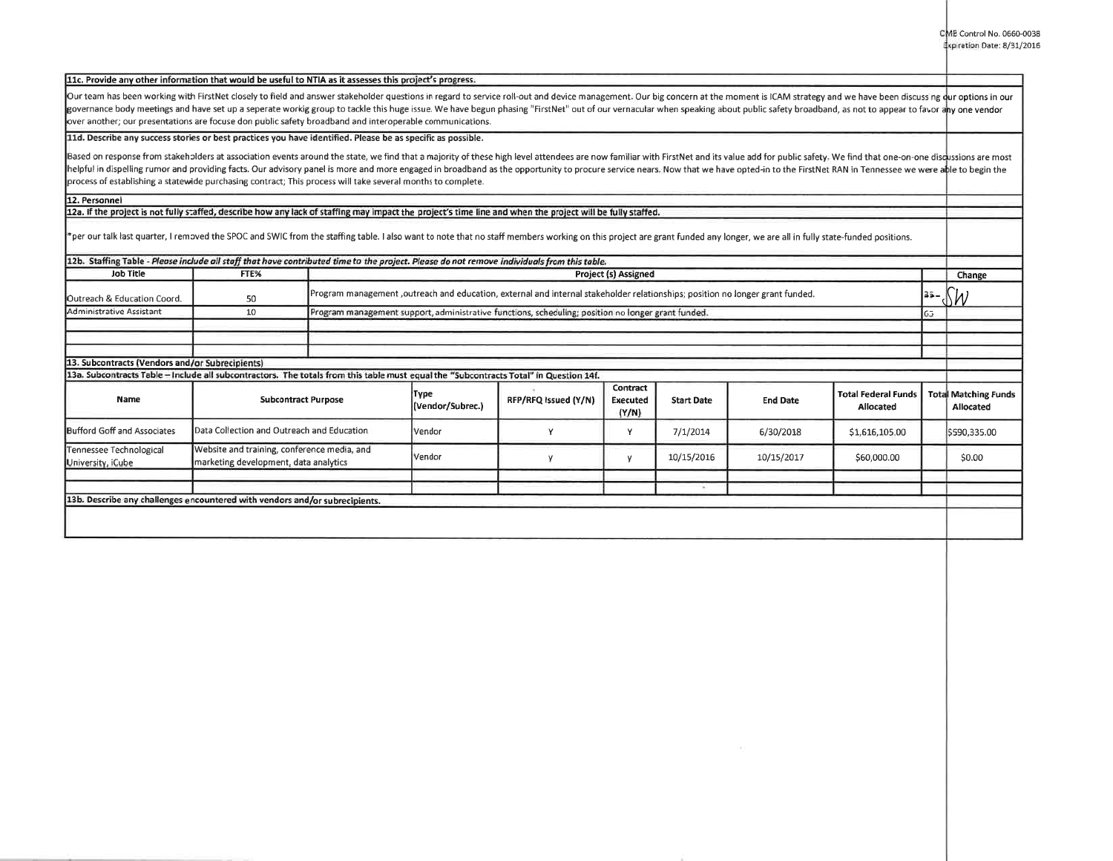## 11c. Provide any other information that would be useful to NTIA as it assesses this project's progress.

Our team has been working with FirstNet closely to field and answer stakeholder questions in regard to service roll-out and device management. Our big concern at the moment is ICAM strategy and we have been discussing dur governance body meetings and have set up a seperate workig group to tackle this huge issue. We have begun phasing "FirstNet" out of our vernacular when speaking about public safety broadband, as not to appear to favor any over another; our presentations are focuse don public safety broadband and interoperable communications.

## **lld. Describe any success stories or best practices you have identified. Please be as specific as possible.**

Based on response from stakeholders at association events around the state, we find that a majority of these high level attendees are now familiar with FirstNet and its value add for public safety. We find that one-on-one helpful in dispelling rumor and providing facts. Our advisory panel is more and more engaged in broadband as the opportunity to procure service nears. Now that we have opted-in to the FirstNet RAN in Tennessee we were able process of establishing a statewide purchasing contract; This process will take several months to complete.

## **12. Personnel**

12a. If the project is not fully staffed, describe how any lack of staffing may impact the project's time line and when the project will be fully staffed.

\*per our talk last quarter, I removed the SPOC and SWIC from the staffing table. I also want to note that no staff members working on this project are grant funded any longer, we are all in fully state-funded positions.

| 12b. Staffing Table - Please include all staff that have contributed time to the project. Please do not remove individuals from this table.                                              |                                                                                      |                                                                                                                               |                             |                      |                               |                   |                 |                                                |      |                                          |
|------------------------------------------------------------------------------------------------------------------------------------------------------------------------------------------|--------------------------------------------------------------------------------------|-------------------------------------------------------------------------------------------------------------------------------|-----------------------------|----------------------|-------------------------------|-------------------|-----------------|------------------------------------------------|------|------------------------------------------|
| <b>Job Title</b>                                                                                                                                                                         | FTE%                                                                                 |                                                                                                                               | <b>Project (s) Assigned</b> |                      |                               |                   |                 |                                                |      | Change                                   |
| Outreach & Education Coord.                                                                                                                                                              | 50                                                                                   | Program management ,outreach and education, external and internal stakeholder relationships; position no longer grant funded. |                             |                      |                               |                   |                 |                                                | 35 - | ۱M                                       |
| Administrative Assistant                                                                                                                                                                 | 10                                                                                   | Program management support, administrative functions, scheduling; position no longer grant funded.                            |                             |                      |                               |                   |                 |                                                | 65   |                                          |
|                                                                                                                                                                                          |                                                                                      |                                                                                                                               |                             |                      |                               |                   |                 |                                                |      |                                          |
|                                                                                                                                                                                          |                                                                                      |                                                                                                                               |                             |                      |                               |                   |                 |                                                |      |                                          |
|                                                                                                                                                                                          |                                                                                      |                                                                                                                               |                             |                      |                               |                   |                 |                                                |      |                                          |
| 13. Subcontracts (Vendors and/or Subrecipients)<br>13a. Subcontracts Table - Include all subcontractors. The totals from this table must equal the "Subcontracts Total" in Question 14f. |                                                                                      |                                                                                                                               |                             |                      |                               |                   |                 |                                                |      |                                          |
| Name                                                                                                                                                                                     | <b>Subcontract Purpose</b>                                                           |                                                                                                                               | Түре<br>(Vendor/Subrec.)    | RFP/RFQ issued (Y/N) | Contract<br>Executed<br>(Y/N) | <b>Start Date</b> | <b>End Date</b> | <b>Total Federal Funds</b><br><b>Allocated</b> |      | <b>Total Matching Funds</b><br>Allocated |
| <b>Bufford Goff and Associates</b>                                                                                                                                                       | Data Collection and Outreach and Education                                           |                                                                                                                               | Vendor                      |                      | ν                             | 7/1/2014          | 6/30/2018       | \$1,616,105.00                                 |      | \$590,335.00                             |
| Tennessee Technological<br>University, iCube                                                                                                                                             | Website and training, conference media, and<br>marketing development, data analytics |                                                                                                                               | Vendor                      |                      | V                             | 10/15/2016        | 10/15/2017      | \$60,000.00                                    |      | \$0.00                                   |
| 13b. Describe any challenges encountered with vendors and/or subrecipients.                                                                                                              |                                                                                      |                                                                                                                               |                             |                      |                               |                   |                 |                                                |      |                                          |